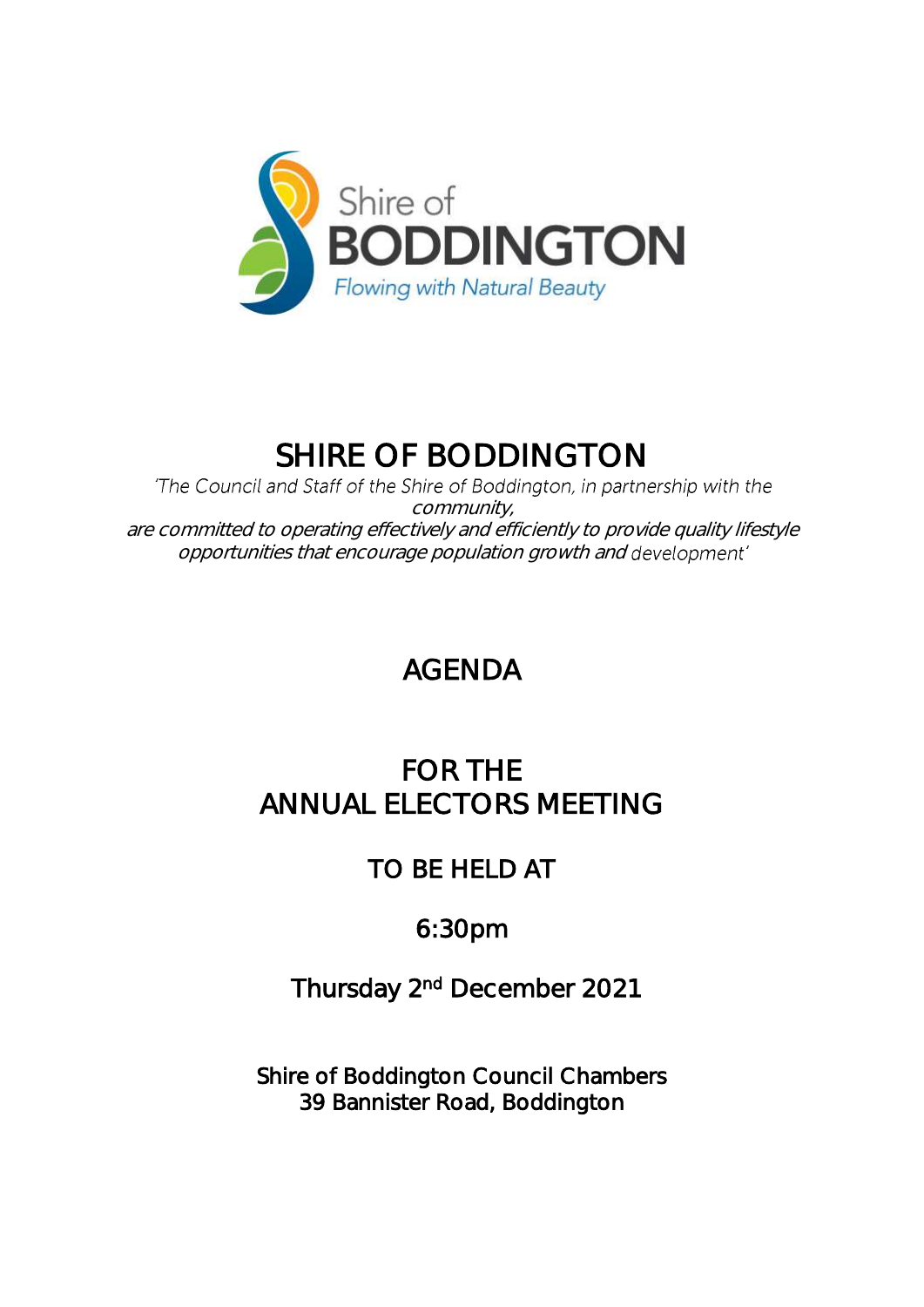

# SHIRE OF BODDINGTON

'The Council and Staff of the Shire of Boddington, in partnership with the community, are committed to operating effectively and efficiently to provide quality lifestyle opportunities that encourage population growth and

# AGENDA

## FOR THE ANNUAL ELECTORS MEETING

## TO BE HELD AT

## 6:30pm

## Thursday 2<sup>nd</sup> December 2021

Shire of Boddington Council Chambers 39 Bannister Road, Boddington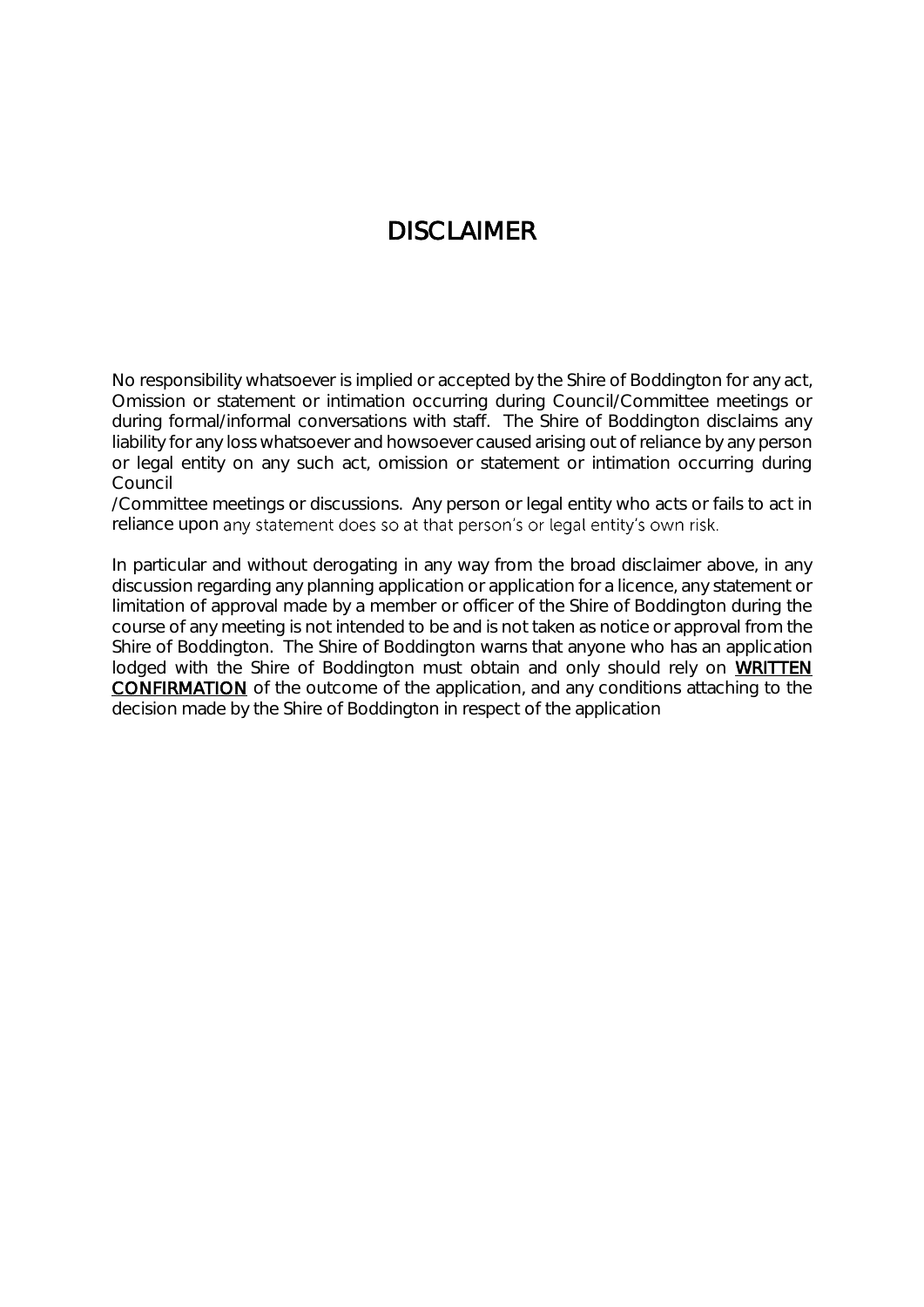#### DISCLAIMER

No responsibility whatsoever is implied or accepted by the Shire of Boddington for any act, Omission or statement or intimation occurring during Council/Committee meetings or during formal/informal conversations with staff. The Shire of Boddington disclaims any liability for any loss whatsoever and howsoever caused arising out of reliance by any person or legal entity on any such act, omission or statement or intimation occurring during Council

/Committee meetings or discussions. Any person or legal entity who acts or fails to act in reliance upon any statement does so at that person's or legal entity's own risk.

In particular and without derogating in any way from the broad disclaimer above, in any discussion regarding any planning application or application for a licence, any statement or limitation of approval made by a member or officer of the Shire of Boddington during the course of any meeting is not intended to be and is not taken as notice or approval from the Shire of Boddington. The Shire of Boddington warns that anyone who has an application lodged with the Shire of Boddington must obtain and only should rely on WRITTEN CONFIRMATION of the outcome of the application, and any conditions attaching to the decision made by the Shire of Boddington in respect of the application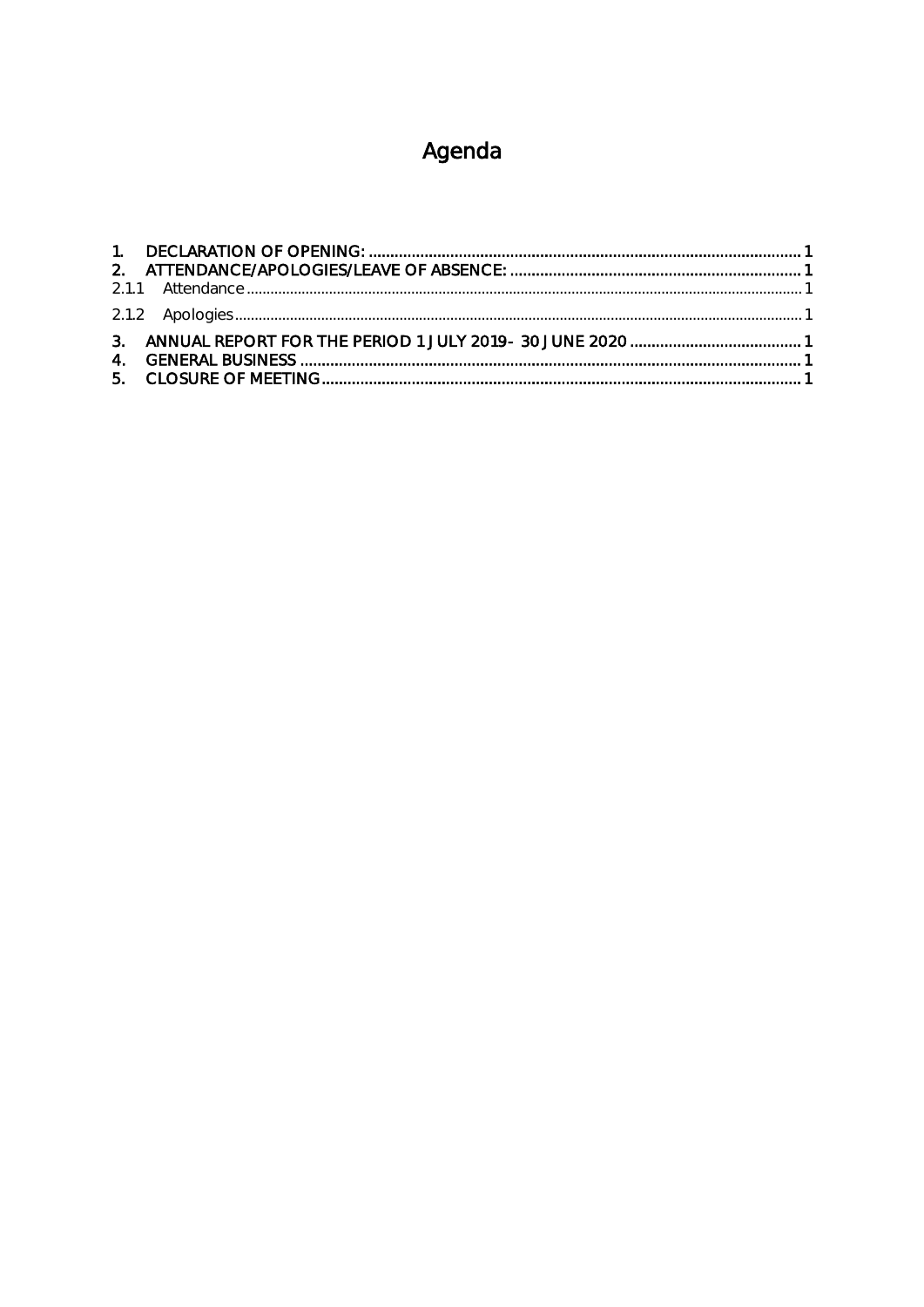## Agenda